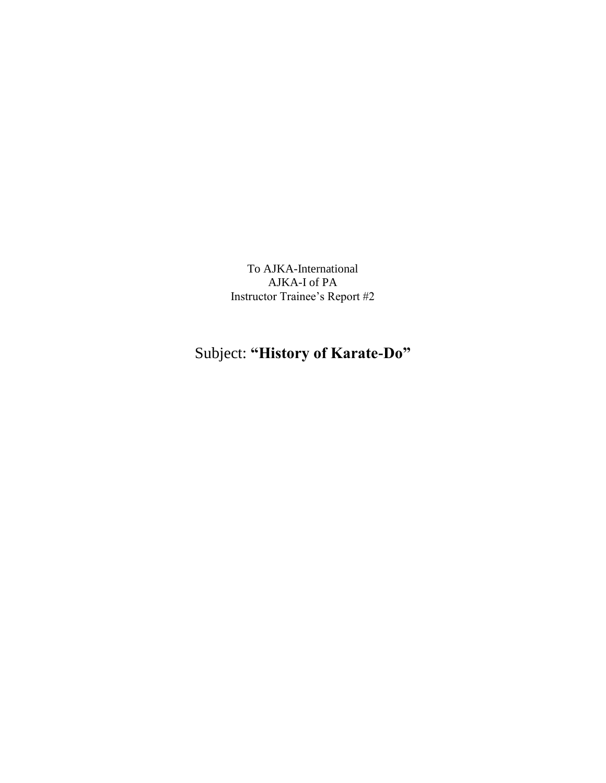To AJKA-International AJKA-I of PA Instructor Trainee's Report #2

## Subject: **"History of Karate-Do"**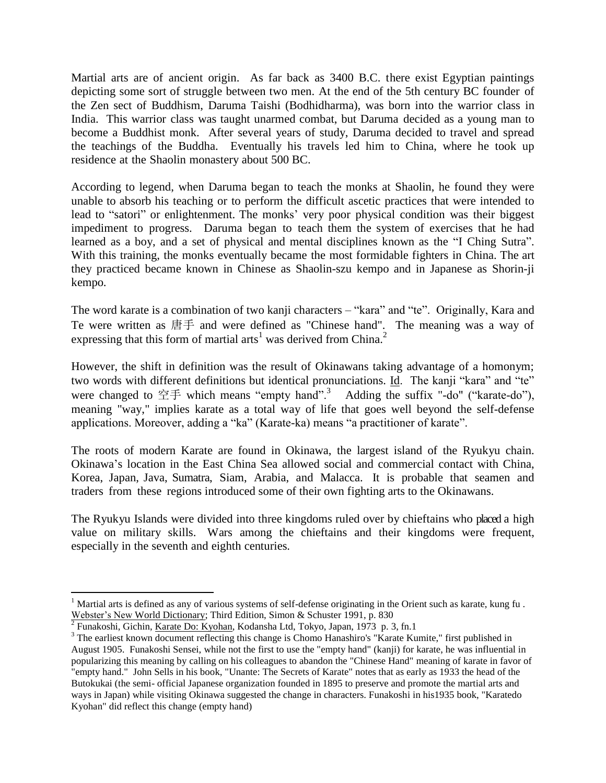Martial arts are of ancient origin. As far back as 3400 B.C. there exist Egyptian paintings depicting some sort of struggle between two men. At the end of the 5th century BC founder of the Zen sect of Buddhism, Daruma Taishi (Bodhidharma), was born into the warrior class in India. This warrior class was taught unarmed combat, but Daruma decided as a young man to become a Buddhist monk. After several years of study, Daruma decided to travel and spread the teachings of the Buddha. Eventually his travels led him to China, where he took up residence at the Shaolin monastery about 500 BC.

According to legend, when Daruma began to teach the monks at Shaolin, he found they were unable to absorb his teaching or to perform the difficult ascetic practices that were intended to lead to "satori" or enlightenment. The monks' very poor physical condition was their biggest impediment to progress. Daruma began to teach them the system of exercises that he had learned as a boy, and a set of physical and mental disciplines known as the "I Ching Sutra". With this training, the monks eventually became the most formidable fighters in China. The art they practiced became known in Chinese as Shaolin-szu kempo and in Japanese as Shorin-ji kempo.

The word karate is a combination of two kanji characters – "kara" and "te". Originally, Kara and Te were written as 唐手 and were defined as "Chinese hand". The meaning was a way of expressing that this form of martial arts<sup>1</sup> was derived from China.<sup>2</sup>

However, the shift in definition was the result of Okinawans taking advantage of a homonym; two words with different definitions but identical pronunciations. Id. The kanji "kara" and "te" were changed to  $\mathfrak{\hat{\Xi}}\neq\mathfrak{w}$  which means "empty hand".<sup>3</sup> Adding the suffix "-do" ("karate-do"), meaning "way," implies karate as a total way of life that goes well beyond the self-defense applications. Moreover, adding a "ka" (Karate-ka) means "a practitioner of karate".

The roots of modern Karate are found in Okinawa, the largest island of the Ryukyu chain. Okinawa's location in the East China Sea allowed social and commercial contact with China, Korea, Japan, Java, Sumatra, Siam, Arabia, and Malacca. It is probable that seamen and traders from these regions introduced some of their own fighting arts to the Okinawans.

The Ryukyu Islands were divided into three kingdoms ruled over by chieftains who placed a high value on military skills. Wars among the chieftains and their kingdoms were frequent, especially in the seventh and eighth centuries.

 $\overline{a}$ 

<sup>&</sup>lt;sup>1</sup> Martial arts is defined as any of various systems of self-defense originating in the Orient such as karate, kung fu.

Webster's New World Dictionary; Third Edition, Simon & Schuster 1991, p. 830<br><sup>2</sup> Funakoshi, Gichin, <u>Karate Do: Kyohan</u>, Kodansha Ltd, Tokyo, Japan, 1973 p. 3, fn.1

<sup>&</sup>lt;sup>3</sup> The earliest known document reflecting this change is Chomo Hanashiro's "Karate Kumite," first published in August 1905. Funakoshi Sensei, while not the first to use the "empty hand" (kanji) for karate, he was influential in popularizing this meaning by calling on his colleagues to abandon the "Chinese Hand" meaning of karate in favor of "empty hand." John Sells in his book, "Unante: The Secrets of Karate" notes that as early as 1933 the head of the Butokukai (the semi- official Japanese organization founded in 1895 to preserve and promote the martial arts and ways in Japan) while visiting Okinawa suggested the change in characters. Funakoshi in his1935 book, "Karatedo Kyohan" did reflect this change (empty hand)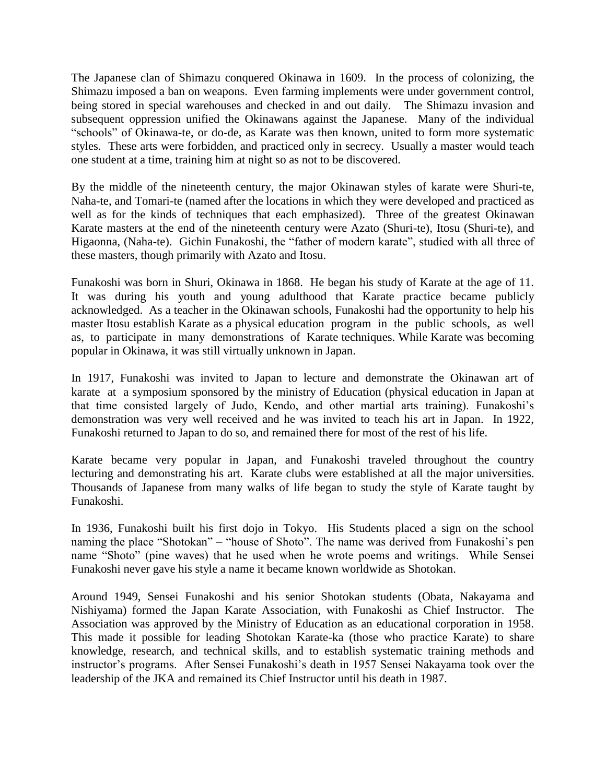The Japanese clan of Shimazu conquered Okinawa in 1609. In the process of colonizing, the Shimazu imposed a ban on weapons. Even farming implements were under government control, being stored in special warehouses and checked in and out daily. The Shimazu invasion and subsequent oppression unified the Okinawans against the Japanese. Many of the individual "schools" of Okinawa-te, or do-de, as Karate was then known, united to form more systematic styles. These arts were forbidden, and practiced only in secrecy. Usually a master would teach one student at a time, training him at night so as not to be discovered.

By the middle of the nineteenth century, the major Okinawan styles of karate were Shuri-te, Naha-te, and Tomari-te (named after the locations in which they were developed and practiced as well as for the kinds of techniques that each emphasized). Three of the greatest Okinawan Karate masters at the end of the nineteenth century were Azato (Shuri-te), Itosu (Shuri-te), and Higaonna, (Naha-te). Gichin Funakoshi, the "father of modern karate", studied with all three of these masters, though primarily with Azato and Itosu.

Funakoshi was born in Shuri, Okinawa in 1868. He began his study of Karate at the age of 11. It was during his youth and young adulthood that Karate practice became publicly acknowledged. As a teacher in the Okinawan schools, Funakoshi had the opportunity to help his master Itosu establish Karate as a physical education program in the public schools, as well as, to participate in many demonstrations of Karate techniques. While Karate was becoming popular in Okinawa, it was still virtually unknown in Japan.

In 1917, Funakoshi was invited to Japan to lecture and demonstrate the Okinawan art of karate at a symposium sponsored by the ministry of Education (physical education in Japan at that time consisted largely of Judo, Kendo, and other martial arts training). Funakoshi's demonstration was very well received and he was invited to teach his art in Japan. In 1922, Funakoshi returned to Japan to do so, and remained there for most of the rest of his life.

Karate became very popular in Japan, and Funakoshi traveled throughout the country lecturing and demonstrating his art. Karate clubs were established at all the major universities. Thousands of Japanese from many walks of life began to study the style of Karate taught by Funakoshi.

In 1936, Funakoshi built his first dojo in Tokyo. His Students placed a sign on the school naming the place "Shotokan" – "house of Shoto". The name was derived from Funakoshi's pen name "Shoto" (pine waves) that he used when he wrote poems and writings. While Sensei Funakoshi never gave his style a name it became known worldwide as Shotokan.

Around 1949, Sensei Funakoshi and his senior Shotokan students (Obata, Nakayama and Nishiyama) formed the Japan Karate Association, with Funakoshi as Chief Instructor. The Association was approved by the Ministry of Education as an educational corporation in 1958. This made it possible for leading Shotokan Karate-ka (those who practice Karate) to share knowledge, research, and technical skills, and to establish systematic training methods and instructor's programs. After Sensei Funakoshi's death in 1957 Sensei Nakayama took over the leadership of the JKA and remained its Chief Instructor until his death in 1987.